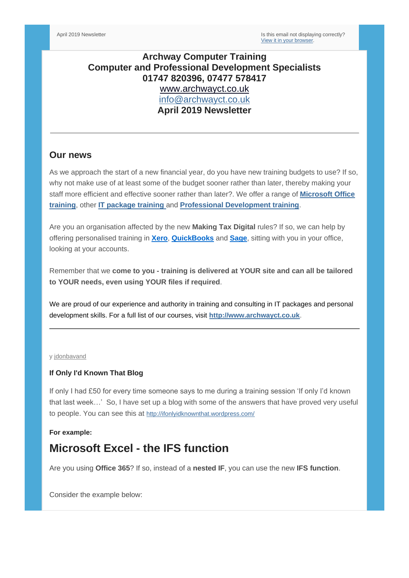# **Archway Computer Training Computer and Professional Development Specialists 01747 820396, 07477 578417** [www.archwayct.co.uk](http://www.archwayct.co.uk/) [info@archwayct.co.uk](mailto:%20info@archwayct.co.uk) **April 2019 Newsletter**

## **Our news**

As we approach the start of a new financial year, do you have new training budgets to use? If so, why not make use of at least some of the budget sooner rather than later, thereby making your staff more efficient and effective sooner rather than later?. We offer a range of **[Microsoft Office](http://www.archwayct.co.uk/microsoft-office-training)  [training](http://www.archwayct.co.uk/microsoft-office-training)**, other **[IT package training](http://www.archwayct.co.uk/it-training)** [a](http://www.jmdtraining.co.uk/it-training)nd **[Professional Development training](http://www.archwayct.co.uk/professional-development-training)**.

Are you an organisation affected by the new **Making Tax Digital** rules? If so, we can help by offering personalised training in **[Xero](http://www.archwayct.co.uk/it-training/xero-training)**, **[QuickBooks](http://www.archwayct.co.uk/it-training/quickbooks-training)** and **[Sage](http://www.archwayct.co.uk/it-training/sage-training)**, sitting with you in your office, looking at your accounts.

Remember that we **come to you - training is delivered at YOUR site and can all be tailored to YOUR needs, even using YOUR files if required**.

We are proud of our experience and authority in training and consulting in IT packages and personal development skills. For a full list of our courses, visit **[http://www.archwayct.co.uk](http://www.archwayct.co.uk/)**.

#### y [jdonbavand](https://ifonlyidknownthat.wordpress.com/author/jdonbavand/)

#### **If Only I'd Known That Blog**

If only I had £50 for every time someone says to me during a training session 'If only I'd known that last week…' So, I have set up a blog with some of the answers that have proved very useful to people. You can see this at <http://ifonlyidknownthat.wordpress.com/>

#### **For example:**

# **Microsoft Excel - the IFS function**

Are you using **Office 365**? If so, instead of a **nested IF**, you can use the new **IFS function**.

Consider the example below: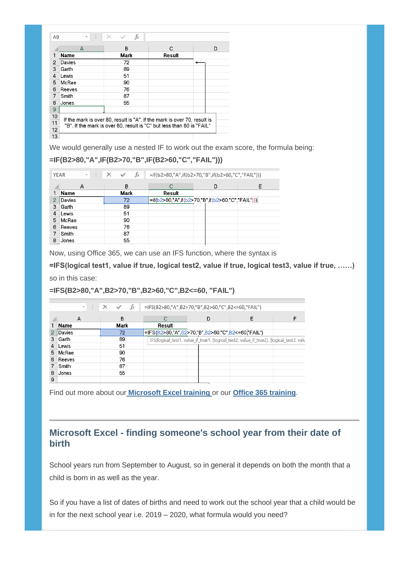| A <sub>9</sub> | E<br>٠                                                                                                                                            | $f_x$<br>$\times$ |        |   |  |  |  |  |
|----------------|---------------------------------------------------------------------------------------------------------------------------------------------------|-------------------|--------|---|--|--|--|--|
|                | A                                                                                                                                                 | B                 | C.     | D |  |  |  |  |
| 1              | <b>Name</b>                                                                                                                                       | Mark              | Result |   |  |  |  |  |
| 2              | Davies                                                                                                                                            | 72                |        |   |  |  |  |  |
| 3              | Garth                                                                                                                                             | 89                |        |   |  |  |  |  |
| 4              | Lewis                                                                                                                                             | 51                |        |   |  |  |  |  |
| 5              | McRae                                                                                                                                             | 90                |        |   |  |  |  |  |
| 6              | Reeves                                                                                                                                            | 76                |        |   |  |  |  |  |
| 7              | Smith                                                                                                                                             | 87                |        |   |  |  |  |  |
| 8              | Jones                                                                                                                                             | 55                |        |   |  |  |  |  |
| 9              |                                                                                                                                                   |                   |        |   |  |  |  |  |
| 10             | If the mark is over 80, result is "A", if the mark is over 70, result is<br>"B". If the mark is over 60, result is "C" but less than 60 is "FAIL" |                   |        |   |  |  |  |  |
| 11             |                                                                                                                                                   |                   |        |   |  |  |  |  |
| 12             |                                                                                                                                                   |                   |        |   |  |  |  |  |
| 13             |                                                                                                                                                   |                   |        |   |  |  |  |  |

We would generally use a nested IF to work out the exam score, the formula being:

### **=IF(B2>80,"A",IF(B2>70,"B",IF(B2>60,"C","FAIL")))**

| ÷.<br><b>YEAR</b><br>$\bar{\mathbf{v}}$ |             | $f_x$<br>$\times$<br>$\checkmark$ |                                                   |   |   |
|-----------------------------------------|-------------|-----------------------------------|---------------------------------------------------|---|---|
|                                         |             |                                   | =if(b2>80,"A",if(b2>70,"B",if(b2>60,"C","FAIL"))) |   |   |
|                                         | А           | B                                 | r                                                 | D | E |
|                                         | <b>Name</b> | Mark                              | Result                                            |   |   |
| 2                                       | Davies      | 72                                | =if(b2>80,"A",if(b2>70,"B",if(b2>60,"C","FAIL"))) |   |   |
| 3                                       | Garth       | 89                                |                                                   |   |   |
| 4                                       | Lewis       | 51                                |                                                   |   |   |
| 5                                       | McRae       | 90                                |                                                   |   |   |
| 6                                       | Reeves      | 76                                |                                                   |   |   |
|                                         | Smith       | 87                                |                                                   |   |   |
| 8                                       | Jones       | 55                                |                                                   |   |   |
|                                         |             |                                   |                                                   |   |   |

Now, using Office 365, we can use an IFS function, where the syntax is

**=IFS(logical test1, value if true, logical test2, value if true, logical test3, value if true, ……)**

so in this case:

```
=IFS(B2>80,"A",B2>70,"B",B2>60,"C",B2<=60, "FAIL")
```

|   | $\overline{\phantom{a}}$ | $f_x$ | =IFS(B2>80,"A",B2>70,"B",B2>60,"C",B2<=60,"FAIL") |                                                   |                                                                                           |  |  |
|---|--------------------------|-------|---------------------------------------------------|---------------------------------------------------|-------------------------------------------------------------------------------------------|--|--|
|   | А                        | В     |                                                   | D                                                 |                                                                                           |  |  |
|   | Name                     | Mark  | Result                                            |                                                   |                                                                                           |  |  |
| 2 | Davies                   | 72    |                                                   | =IFS(B2>80,"A",B2>70,"B",B2>60,"C",B2<=60,"FAIL") |                                                                                           |  |  |
| 3 | Garth                    | 89    |                                                   |                                                   | IFS(logical test1, value if true1, [logical test2, value if true2], [logical test3, value |  |  |
|   | Lewis                    | 51    |                                                   |                                                   |                                                                                           |  |  |
| 5 | McRae                    | 90    |                                                   |                                                   |                                                                                           |  |  |
| 6 | Reeves                   | 76    |                                                   |                                                   |                                                                                           |  |  |
|   | Smith                    | 87    |                                                   |                                                   |                                                                                           |  |  |
| 8 | Jones                    | 55    |                                                   |                                                   |                                                                                           |  |  |
| 9 |                          |       |                                                   |                                                   |                                                                                           |  |  |

Find out more about our **[Microsoft Excel training](http://www.archwayct.co.uk/microsoft-office-training/microsoft-excel-training)** [o](http://www.jmdtraining.co.uk/microsoft-office-training/microsoft-excel-training)r our **[Office 365 training](http://www.archwayct.co.uk/microsoft-office-training/office-365-training)**.

# **Microsoft Excel - finding someone's school year from their date of birth**

School years run from September to August, so in general it depends on both the month that a child is born in as well as the year.

So if you have a list of dates of births and need to work out the school year that a child would be in for the next school year i.e. 2019 – 2020, what formula would you need?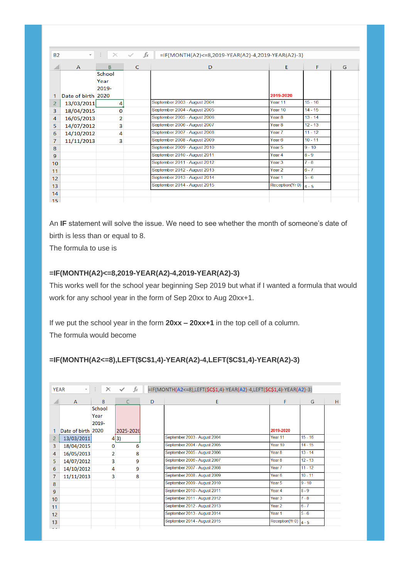| <b>B2</b>       | $\mathbf{v}$ .     | ÷÷.<br>$\times$ | $f_x$<br>$\checkmark$ | $=$ IF(MONTH(A2)<=8,2019-YEAR(A2)-4,2019-YEAR(A2)-3) |                    |           |   |
|-----------------|--------------------|-----------------|-----------------------|------------------------------------------------------|--------------------|-----------|---|
|                 | $\mathsf{A}$       | <sub>B</sub>    | C                     | D                                                    | E                  | F         | G |
|                 |                    | School          |                       |                                                      |                    |           |   |
|                 |                    | Year            |                       |                                                      |                    |           |   |
|                 |                    | 2019-           |                       |                                                      |                    |           |   |
| 1               | Date of birth 2020 |                 |                       |                                                      | 2019-2020          |           |   |
| $\overline{2}$  | 13/03/2011         | 4               |                       | September 2003 - August 2004                         | Year <sub>11</sub> | $15 - 16$ |   |
| 3               | 18/04/2015         | O               |                       | September 2004 - August 2005                         | Year <sub>10</sub> | $14 - 15$ |   |
| 4               | 16/05/2013         | 2               |                       | September 2005 - August 2006                         | Year <sub>8</sub>  | $13 - 14$ |   |
| 5               | 14/07/2012         | 3               |                       | September 2006 - August 2007                         | Year <sub>8</sub>  | $12 - 13$ |   |
| 6               | 14/10/2012         | 4               |                       | September 2007 - August 2008                         | Year <sub>7</sub>  | $11 - 12$ |   |
| 7               | 11/11/2013         | 3               |                       | September 2008 - August 2009                         | Year <sub>6</sub>  | $10 - 11$ |   |
| 8               |                    |                 |                       | September 2009 - August 2010                         | Year <sub>5</sub>  | $9 - 10$  |   |
| $\overline{9}$  |                    |                 |                       | September 2010 - August 2011                         | Year <sub>4</sub>  | $8 - 9$   |   |
| 10 <sup>1</sup> |                    |                 |                       | September 2011 - August 2012                         | Year <sub>3</sub>  | $7 - 8$   |   |
| 11              |                    |                 |                       | September 2012 - August 2013                         | Year <sub>2</sub>  | $6 - 7$   |   |
| 12              |                    |                 |                       | September 2013 - August 2014                         | Year <sub>1</sub>  | $5 - 6$   |   |
| 13              |                    |                 |                       | September 2014 - August 2015                         | Reception(Yr 0)    | $4 - 5$   |   |
| 14              |                    |                 |                       |                                                      |                    |           |   |
| 15 <sub>1</sub> |                    |                 |                       |                                                      |                    |           |   |

An **IF** statement will solve the issue. We need to see whether the month of someone's date of birth is less than or equal to 8.

The formula to use is

### **=IF(MONTH(A2)<=8,2019-YEAR(A2)-4,2019-YEAR(A2)-3)**

This works well for the school year beginning Sep 2019 but what if I wanted a formula that would work for any school year in the form of Sep 20xx to Aug 20xx+1.

If we put the school year in the form **20xx – 20xx+1** in the top cell of a column. The formula would become

## **=IF(MONTH(A2<=8),LEFT(\$C\$1,4)-YEAR(A2)-4,LEFT(\$C\$1,4)-YEAR(A2)-3)**

|                | $f_x$<br>÷<br><b>YEAR</b><br>=IF(MONTH(A2<=8),LEFT(\$C\$1,4)-YEAR(A2)-4,LEFT(\$C\$1,4)-YEAR(A2)-3)<br>$\times$<br>$\overline{\phantom{a}}$ |                |           |   |                              |                    |           |   |  |
|----------------|--------------------------------------------------------------------------------------------------------------------------------------------|----------------|-----------|---|------------------------------|--------------------|-----------|---|--|
|                | $\mathsf{A}$                                                                                                                               | B              | C         | D | E                            | F                  | G         | H |  |
|                |                                                                                                                                            | School         |           |   |                              |                    |           |   |  |
|                |                                                                                                                                            | Year           |           |   |                              |                    |           |   |  |
|                |                                                                                                                                            | 2019-          |           |   |                              |                    |           |   |  |
| 1              | Date of birth 2020                                                                                                                         |                | 2025-2026 |   |                              | 2019-2020          |           |   |  |
| $\overline{2}$ | 13/03/2011                                                                                                                                 |                | 4 3)      |   | September 2003 - August 2004 | Year <sub>11</sub> | $15 - 16$ |   |  |
| 3              | 18/04/2015                                                                                                                                 | 0              | 6         |   | September 2004 - August 2005 | Year 10            | $14 - 15$ |   |  |
| $\overline{4}$ | 16/05/2013                                                                                                                                 | $\overline{2}$ | 8         |   | September 2005 - August 2006 | Year <sub>8</sub>  | $13 - 14$ |   |  |
| 5              | 14/07/2012                                                                                                                                 | 3              | 9         |   | September 2006 - August 2007 | Year <sub>8</sub>  | $12 - 13$ |   |  |
| 6              | 14/10/2012                                                                                                                                 | 4              | 9         |   | September 2007 - August 2008 | Year <sub>7</sub>  | $11 - 12$ |   |  |
| 7              | 11/11/2013                                                                                                                                 | 3              | 8         |   | September 2008 - August 2009 | Year <sub>6</sub>  | $10 - 11$ |   |  |
| 8              |                                                                                                                                            |                |           |   | September 2009 - August 2010 | Year <sub>5</sub>  | $9 - 10$  |   |  |
| 9              |                                                                                                                                            |                |           |   | September 2010 - August 2011 | Year <sub>4</sub>  | $8 - 9$   |   |  |
| 10             |                                                                                                                                            |                |           |   | September 2011 - August 2012 | Year <sub>3</sub>  | $7 - 8$   |   |  |
| 11             |                                                                                                                                            |                |           |   | September 2012 - August 2013 | Year <sub>2</sub>  | $6 - 7$   |   |  |
| 12             |                                                                                                                                            |                |           |   | September 2013 - August 2014 | Year <sub>1</sub>  | $5 - 6$   |   |  |
| 13             |                                                                                                                                            |                |           |   | September 2014 - August 2015 | Reception(Yr 0)    | $4 - 5$   |   |  |
| $\overline{a}$ |                                                                                                                                            |                |           |   |                              |                    |           |   |  |